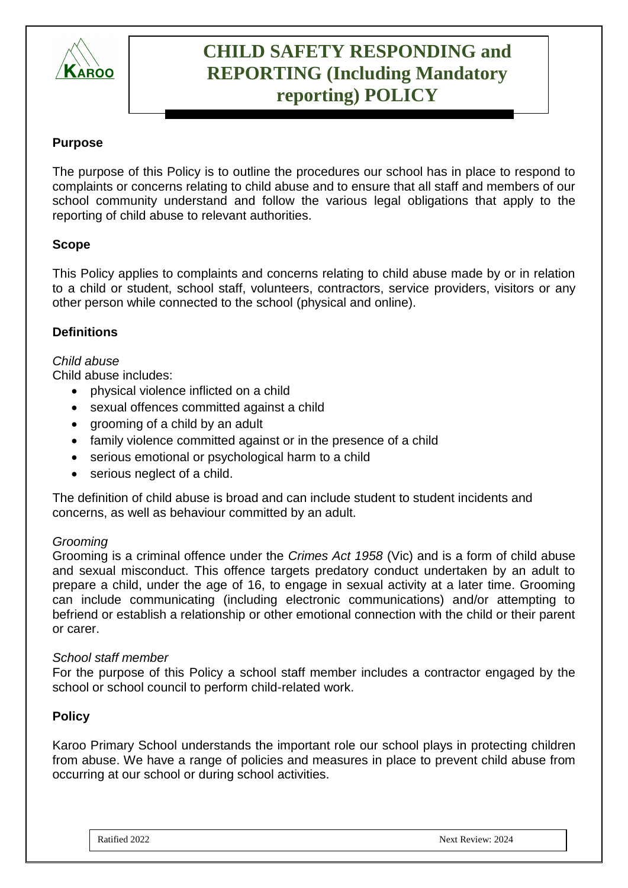

# **CHILD SAFETY RESPONDING and REPORTING (Including Mandatory reporting) POLICY**

## **Purpose**

The purpose of this Policy is to outline the procedures our school has in place to respond to complaints or concerns relating to child abuse and to ensure that all staff and members of our school community understand and follow the various legal obligations that apply to the reporting of child abuse to relevant authorities.

## **Scope**

This Policy applies to complaints and concerns relating to child abuse made by or in relation to a child or student, school staff, volunteers, contractors, service providers, visitors or any other person while connected to the school (physical and online).

## **Definitions**

#### *Child abuse*

Child abuse includes:

- physical violence inflicted on a child
- sexual offences committed against a child
- grooming of a child by an adult
- family violence committed against or in the presence of a child
- serious emotional or psychological harm to a child
- serious neglect of a child.

The definition of child abuse is broad and can include student to student incidents and concerns, as well as behaviour committed by an adult.

#### *Grooming*

Grooming is a criminal offence under the *Crimes Act 1958* (Vic) and is a form of child abuse and sexual misconduct. This offence targets predatory conduct undertaken by an adult to prepare a child, under the age of 16, to engage in sexual activity at a later time. Grooming can include communicating (including electronic communications) and/or attempting to befriend or establish a relationship or other emotional connection with the child or their parent or carer.

#### *School staff member*

For the purpose of this Policy a school staff member includes a contractor engaged by the school or school council to perform child-related work.

#### **Policy**

Karoo Primary School understands the important role our school plays in protecting children from abuse. We have a range of policies and measures in place to prevent child abuse from occurring at our school or during school activities.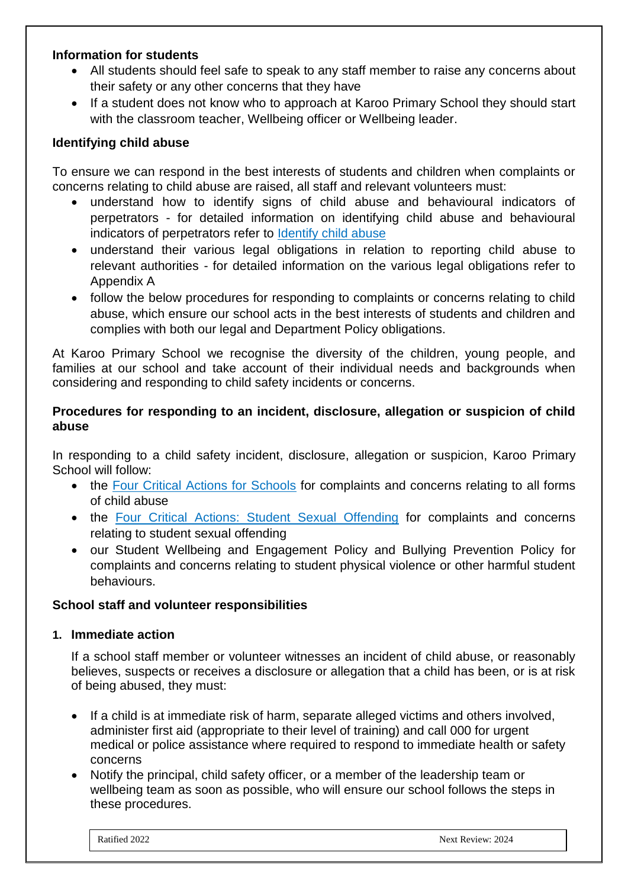#### **Information for students**

- All students should feel safe to speak to any staff member to raise any concerns about their safety or any other concerns that they have
- If a student does not know who to approach at Karoo Primary School they should start with the classroom teacher, Wellbeing officer or Wellbeing leader.

## **Identifying child abuse**

To ensure we can respond in the best interests of students and children when complaints or concerns relating to child abuse are raised, all staff and relevant volunteers must:

- understand how to identify signs of child abuse and behavioural indicators of perpetrators - for detailed information on identifying child abuse and behavioural indicators of perpetrators refer to [Identify child abuse](https://www.education.vic.gov.au/school/teachers/health/childprotection/Pages/identify.aspx)
- understand their various legal obligations in relation to reporting child abuse to relevant authorities - for detailed information on the various legal obligations refer to Appendix A
- follow the below procedures for responding to complaints or concerns relating to child abuse, which ensure our school acts in the best interests of students and children and complies with both our legal and Department Policy obligations.

At Karoo Primary School we recognise the diversity of the children, young people, and families at our school and take account of their individual needs and backgrounds when considering and responding to child safety incidents or concerns.

## **Procedures for responding to an incident, disclosure, allegation or suspicion of child abuse**

In responding to a child safety incident, disclosure, allegation or suspicion, Karoo Primary School will follow:

- the [Four Critical Actions for Schools](https://www.education.vic.gov.au/Documents/about/programs/health/protect/FourCriticalActions_ChildAbuse.pdf) for complaints and concerns relating to all forms of child abuse
- the [Four Critical Actions: Student Sexual Offending](https://www.education.vic.gov.au/school/teachers/health/childprotection/Pages/stusexual.aspx) for complaints and concerns relating to student sexual offending
- our Student Wellbeing and Engagement Policy and Bullying Prevention Policy for complaints and concerns relating to student physical violence or other harmful student behaviours.

## **School staff and volunteer responsibilities**

#### **1. Immediate action**

If a school staff member or volunteer witnesses an incident of child abuse, or reasonably believes, suspects or receives a disclosure or allegation that a child has been, or is at risk of being abused, they must:

- If a child is at immediate risk of harm, separate alleged victims and others involved, administer first aid (appropriate to their level of training) and call 000 for urgent medical or police assistance where required to respond to immediate health or safety concerns
- Notify the principal, child safety officer, or a member of the leadership team or wellbeing team as soon as possible, who will ensure our school follows the steps in these procedures.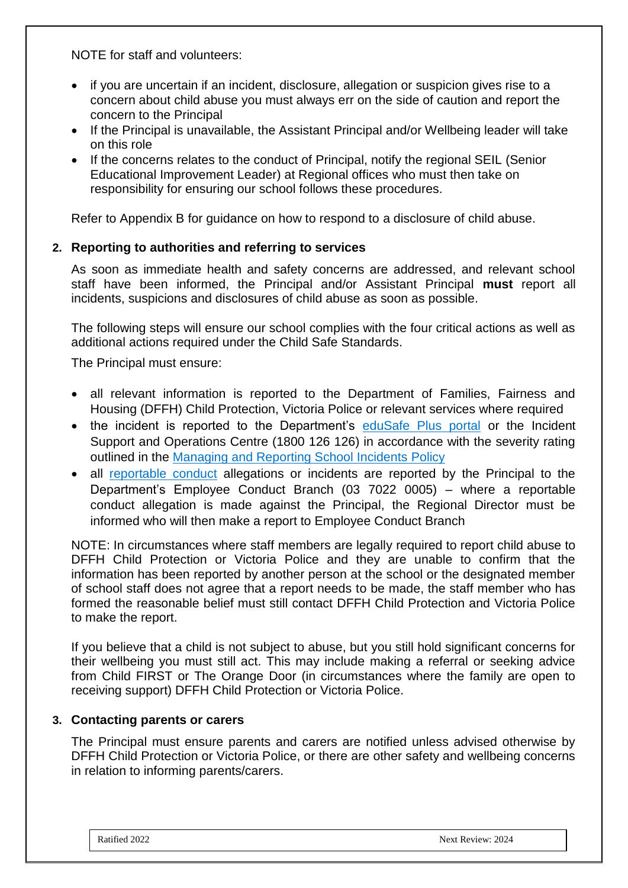NOTE for staff and volunteers:

- if you are uncertain if an incident, disclosure, allegation or suspicion gives rise to a concern about child abuse you must always err on the side of caution and report the concern to the Principal
- If the Principal is unavailable, the Assistant Principal and/or Wellbeing leader will take on this role
- If the concerns relates to the conduct of Principal, notify the regional SEIL (Senior Educational Improvement Leader) at Regional offices who must then take on responsibility for ensuring our school follows these procedures.

Refer to Appendix B for guidance on how to respond to a disclosure of child abuse.

#### **2. Reporting to authorities and referring to services**

As soon as immediate health and safety concerns are addressed, and relevant school staff have been informed, the Principal and/or Assistant Principal **must** report all incidents, suspicions and disclosures of child abuse as soon as possible.

The following steps will ensure our school complies with the four critical actions as well as additional actions required under the Child Safe Standards.

The Principal must ensure:

- all relevant information is reported to the Department of Families, Fairness and Housing (DFFH) Child Protection, Victoria Police or relevant services where required
- the incident is reported to the Department's [eduSafe Plus portal](https://services.educationapps.vic.gov.au/edusafeplus) or the Incident Support and Operations Centre (1800 126 126) in accordance with the severity rating outlined in the [Managing and Reporting School Incidents Policy](https://www2.education.vic.gov.au/pal/reporting-and-managing-school-incidents-including-emergencies/policy)
- all [reportable conduct](https://www2.education.vic.gov.au/pal/reportable-conduct-scheme/policy) allegations or incidents are reported by the Principal to the Department's Employee Conduct Branch (03 7022 0005) – where a reportable conduct allegation is made against the Principal, the Regional Director must be informed who will then make a report to Employee Conduct Branch

NOTE: In circumstances where staff members are legally required to report child abuse to DFFH Child Protection or Victoria Police and they are unable to confirm that the information has been reported by another person at the school or the designated member of school staff does not agree that a report needs to be made, the staff member who has formed the reasonable belief must still contact DFFH Child Protection and Victoria Police to make the report.

If you believe that a child is not subject to abuse, but you still hold significant concerns for their wellbeing you must still act. This may include making a referral or seeking advice from Child FIRST or The Orange Door (in circumstances where the family are open to receiving support) DFFH Child Protection or Victoria Police.

#### **3. Contacting parents or carers**

The Principal must ensure parents and carers are notified unless advised otherwise by DFFH Child Protection or Victoria Police, or there are other safety and wellbeing concerns in relation to informing parents/carers.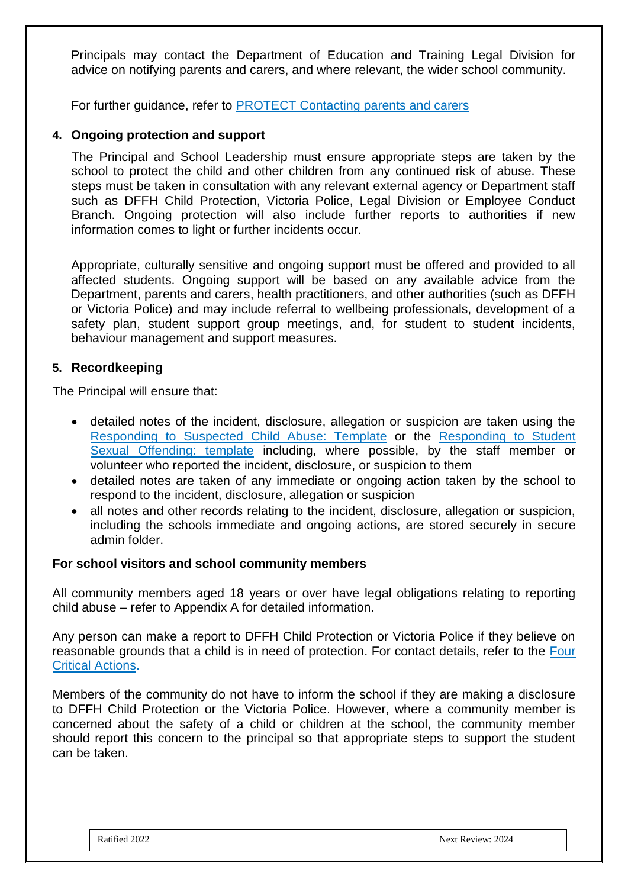Principals may contact the Department of Education and Training Legal Division for advice on notifying parents and carers, and where relevant, the wider school community.

For further guidance, refer to [PROTECT Contacting parents and carers](https://www.education.vic.gov.au/school/teachers/health/childprotection/Pages/actionthree.aspx)

## **4. Ongoing protection and support**

The Principal and School Leadership must ensure appropriate steps are taken by the school to protect the child and other children from any continued risk of abuse. These steps must be taken in consultation with any relevant external agency or Department staff such as DFFH Child Protection, Victoria Police, Legal Division or Employee Conduct Branch. Ongoing protection will also include further reports to authorities if new information comes to light or further incidents occur.

Appropriate, culturally sensitive and ongoing support must be offered and provided to all affected students. Ongoing support will be based on any available advice from the Department, parents and carers, health practitioners, and other authorities (such as DFFH or Victoria Police) and may include referral to wellbeing professionals, development of a safety plan, student support group meetings, and, for student to student incidents, behaviour management and support measures.

#### **5. Recordkeeping**

The Principal will ensure that:

- detailed notes of the incident, disclosure, allegation or suspicion are taken using the [Responding to Suspected Child Abuse: Template](https://www.education.vic.gov.au/Documents/about/programs/health/protect/PROTECT_Schoolstemplate.pdf) or the [Responding to Student](https://www.education.vic.gov.au/Documents/about/programs/health/protect/SSO_ReportingTemplate.docx)  [Sexual Offending: template](https://www.education.vic.gov.au/Documents/about/programs/health/protect/SSO_ReportingTemplate.docx) including, where possible, by the staff member or volunteer who reported the incident, disclosure, or suspicion to them
- detailed notes are taken of any immediate or ongoing action taken by the school to respond to the incident, disclosure, allegation or suspicion
- all notes and other records relating to the incident, disclosure, allegation or suspicion, including the schools immediate and ongoing actions, are stored securely in secure admin folder.

#### **For school visitors and school community members**

All community members aged 18 years or over have legal obligations relating to reporting child abuse – refer to Appendix A for detailed information.

Any person can make a report to DFFH Child Protection or Victoria Police if they believe on reasonable grounds that a child is in need of protection. For contact details, refer to the [Four](https://www.education.vic.gov.au/Documents/about/programs/health/protect/FourCriticalActions_ChildAbuse.pdf)  [Critical Actions.](https://www.education.vic.gov.au/Documents/about/programs/health/protect/FourCriticalActions_ChildAbuse.pdf)

Members of the community do not have to inform the school if they are making a disclosure to DFFH Child Protection or the Victoria Police. However, where a community member is concerned about the safety of a child or children at the school, the community member should report this concern to the principal so that appropriate steps to support the student can be taken.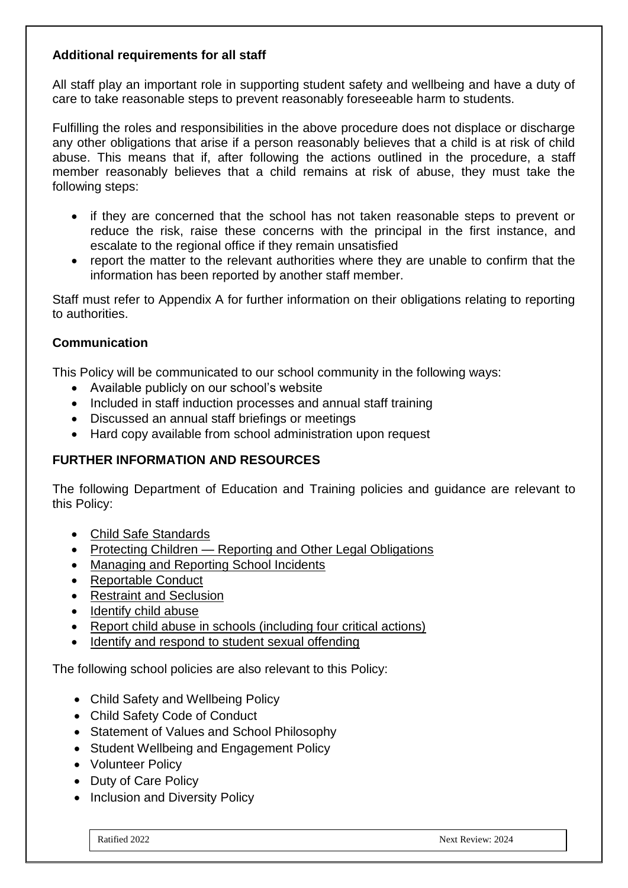## **Additional requirements for all staff**

All staff play an important role in supporting student safety and wellbeing and have a duty of care to take reasonable steps to prevent reasonably foreseeable harm to students.

Fulfilling the roles and responsibilities in the above procedure does not displace or discharge any other obligations that arise if a person reasonably believes that a child is at risk of child abuse. This means that if, after following the actions outlined in the procedure, a staff member reasonably believes that a child remains at risk of abuse, they must take the following steps:

- if they are concerned that the school has not taken reasonable steps to prevent or reduce the risk, raise these concerns with the principal in the first instance, and escalate to the regional office if they remain unsatisfied
- report the matter to the relevant authorities where they are unable to confirm that the information has been reported by another staff member.

Staff must refer to Appendix A for further information on their obligations relating to reporting to authorities.

## **Communication**

This Policy will be communicated to our school community in the following ways:

- Available publicly on our school's website
- Included in staff induction processes and annual staff training
- Discussed an annual staff briefings or meetings
- Hard copy available from school administration upon request

#### **FURTHER INFORMATION AND RESOURCES**

The following Department of Education and Training policies and guidance are relevant to this Policy:

- [Child Safe Standards](https://www2.education.vic.gov.au/pal/child-safe-standards/policy)
- Protecting Children [Reporting and Other Legal Obligations](https://www2.education.vic.gov.au/pal/protecting-children/policy)
- [Managing and Reporting School Incidents](https://www2.education.vic.gov.au/pal/reporting-and-managing-school-incidents-including-emergencies/policy)
- [Reportable Conduct](https://www2.education.vic.gov.au/pal/reportable-conduct-scheme/policy)
- [Restraint and Seclusion](https://www2.education.vic.gov.au/pal/restraint-seclusion/policy)
- [Identify child abuse](https://www.education.vic.gov.au/school/teachers/health/childprotection/Pages/identify.aspx)
- [Report child abuse in schools \(including four critical actions\)](https://www.education.vic.gov.au/school/teachers/health/childprotection/Pages/report.aspx)
- [Identify and respond to student sexual offending](https://www.education.vic.gov.au/school/teachers/health/childprotection/Pages/stusexual.aspx)

The following school policies are also relevant to this Policy:

- Child Safety and Wellbeing Policy
- Child Safety Code of Conduct
- Statement of Values and School Philosophy
- Student Wellbeing and Engagement Policy
- Volunteer Policy
- Duty of Care Policy
- Inclusion and Diversity Policy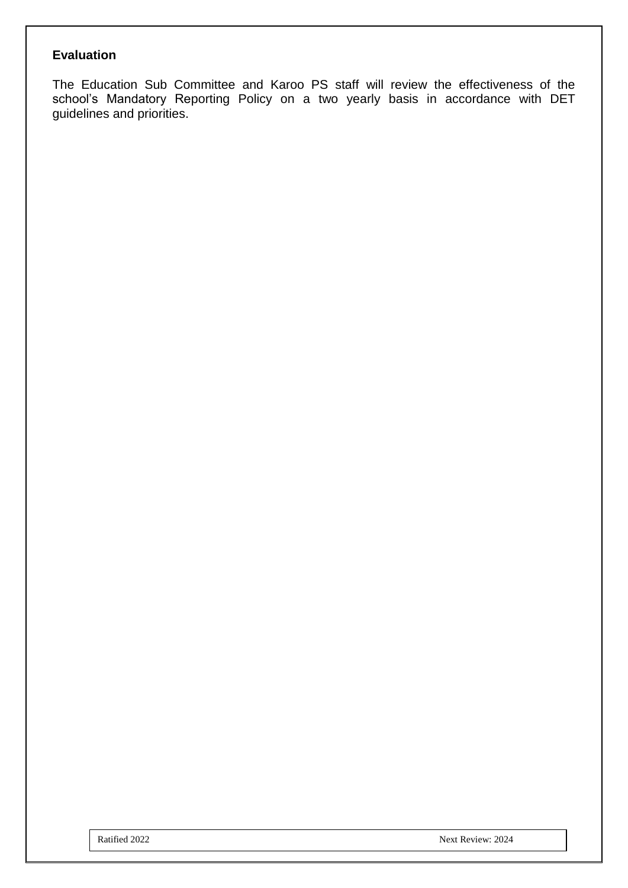## **Evaluation**

The Education Sub Committee and Karoo PS staff will review the effectiveness of the school's Mandatory Reporting Policy on a two yearly basis in accordance with DET guidelines and priorities.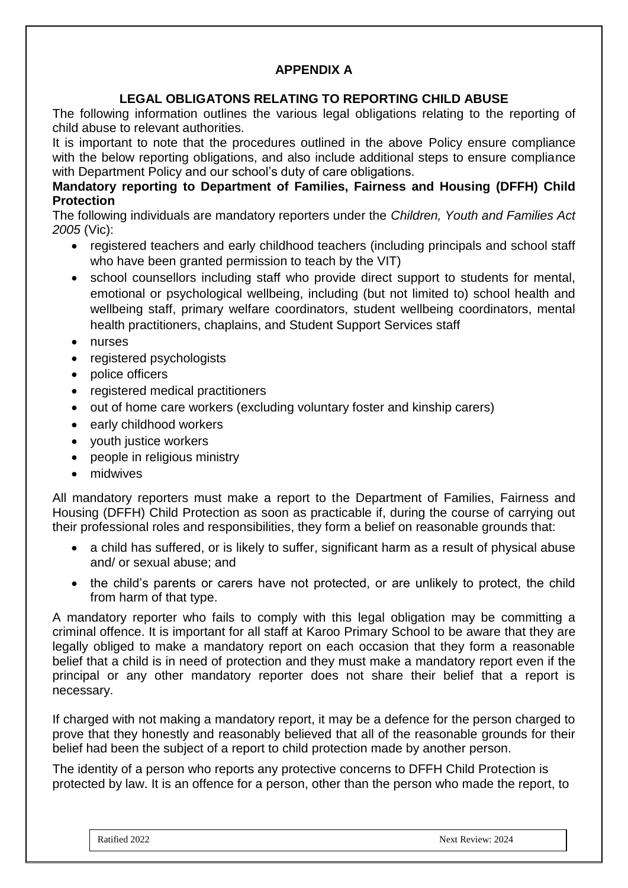# **APPENDIX A**

# **LEGAL OBLIGATONS RELATING TO REPORTING CHILD ABUSE**

The following information outlines the various legal obligations relating to the reporting of child abuse to relevant authorities.

It is important to note that the procedures outlined in the above Policy ensure compliance with the below reporting obligations, and also include additional steps to ensure compliance with Department Policy and our school's duty of care obligations.

## **Mandatory reporting to Department of Families, Fairness and Housing (DFFH) Child Protection**

The following individuals are mandatory reporters under the *Children, Youth and Families Act 2005* (Vic):

- registered teachers and early childhood teachers (including principals and school staff who have been granted permission to teach by the VIT)
- school counsellors including staff who provide direct support to students for mental, emotional or psychological wellbeing, including (but not limited to) school health and wellbeing staff, primary welfare coordinators, student wellbeing coordinators, mental health practitioners, chaplains, and Student Support Services staff
- nurses
- registered psychologists
- police officers
- registered medical practitioners
- out of home care workers (excluding voluntary foster and kinship carers)
- early childhood workers
- youth justice workers
- people in religious ministry
- midwives

All mandatory reporters must make a report to the Department of Families, Fairness and Housing (DFFH) Child Protection as soon as practicable if, during the course of carrying out their professional roles and responsibilities, they form a belief on reasonable grounds that:

- a child has suffered, or is likely to suffer, significant harm as a result of physical abuse and/ or sexual abuse; and
- the child's parents or carers have not protected, or are unlikely to protect, the child from harm of that type.

A mandatory reporter who fails to comply with this legal obligation may be committing a criminal offence. It is important for all staff at Karoo Primary School to be aware that they are legally obliged to make a mandatory report on each occasion that they form a reasonable belief that a child is in need of protection and they must make a mandatory report even if the principal or any other mandatory reporter does not share their belief that a report is necessary.

If charged with not making a mandatory report, it may be a defence for the person charged to prove that they honestly and reasonably believed that all of the reasonable grounds for their belief had been the subject of a report to child protection made by another person.

The identity of a person who reports any protective concerns to DFFH Child Protection is protected by law. It is an offence for a person, other than the person who made the report, to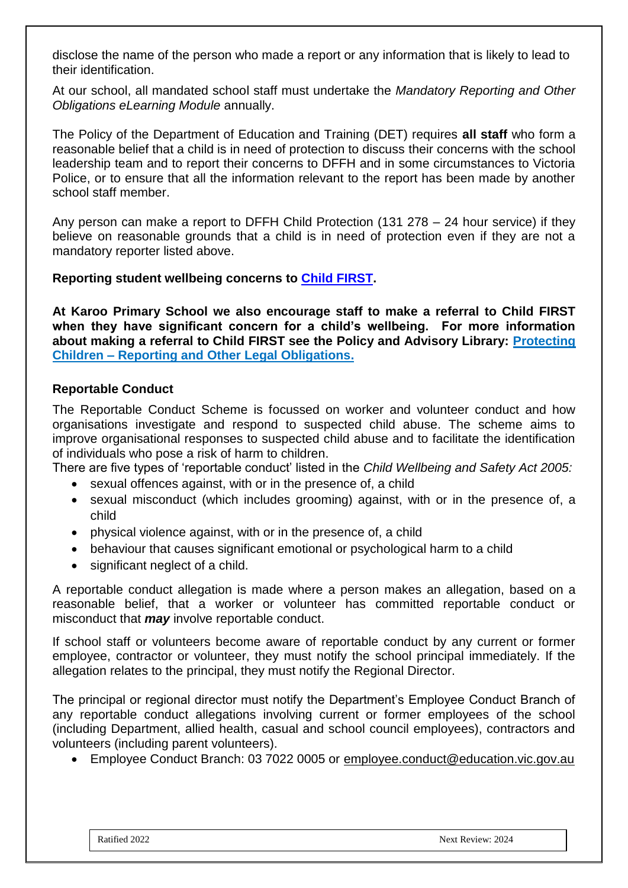disclose the name of the person who made a report or any information that is likely to lead to their identification.

At our school, all mandated school staff must undertake the *Mandatory Reporting and Other Obligations eLearning Module* annually.

The Policy of the Department of Education and Training (DET) requires **all staff** who form a reasonable belief that a child is in need of protection to discuss their concerns with the school leadership team and to report their concerns to DFFH and in some circumstances to Victoria Police, or to ensure that all the information relevant to the report has been made by another school staff member.

Any person can make a report to DFFH Child Protection (131 278 – 24 hour service) if they believe on reasonable grounds that a child is in need of protection even if they are not a mandatory reporter listed above.

#### **Reporting student wellbeing concerns to [Child FIRST.](https://services.dffh.vic.gov.au/child-first-and-family-services)**

**At Karoo Primary School we also encourage staff to make a referral to Child FIRST when they have significant concern for a child's wellbeing. For more information about making a referral to Child FIRST see the Policy and Advisory Library: [Protecting](https://www2.education.vic.gov.au/pal/protecting-children/policy)  Children – [Reporting and Other Legal Obligations.](https://www2.education.vic.gov.au/pal/protecting-children/policy)**

## **Reportable Conduct**

The Reportable Conduct Scheme is focussed on worker and volunteer conduct and how organisations investigate and respond to suspected child abuse. The scheme aims to improve organisational responses to suspected child abuse and to facilitate the identification of individuals who pose a risk of harm to children.

There are five types of 'reportable conduct' listed in the *Child Wellbeing and Safety Act 2005:*

- sexual offences against, with or in the presence of, a child
- sexual misconduct (which includes grooming) against, with or in the presence of, a child
- physical violence against, with or in the presence of, a child
- behaviour that causes significant emotional or psychological harm to a child
- significant neglect of a child.

A reportable conduct allegation is made where a person makes an allegation, based on a reasonable belief, that a worker or volunteer has committed reportable conduct or misconduct that *may* involve reportable conduct.

If school staff or volunteers become aware of reportable conduct by any current or former employee, contractor or volunteer, they must notify the school principal immediately. If the allegation relates to the principal, they must notify the Regional Director.

The principal or regional director must notify the Department's Employee Conduct Branch of any reportable conduct allegations involving current or former employees of the school (including Department, allied health, casual and school council employees), contractors and volunteers (including parent volunteers).

• Employee Conduct Branch: 03 7022 0005 or [employee.conduct@education.vic.gov.au](mailto:employee.conduct@education.vic.gov.au)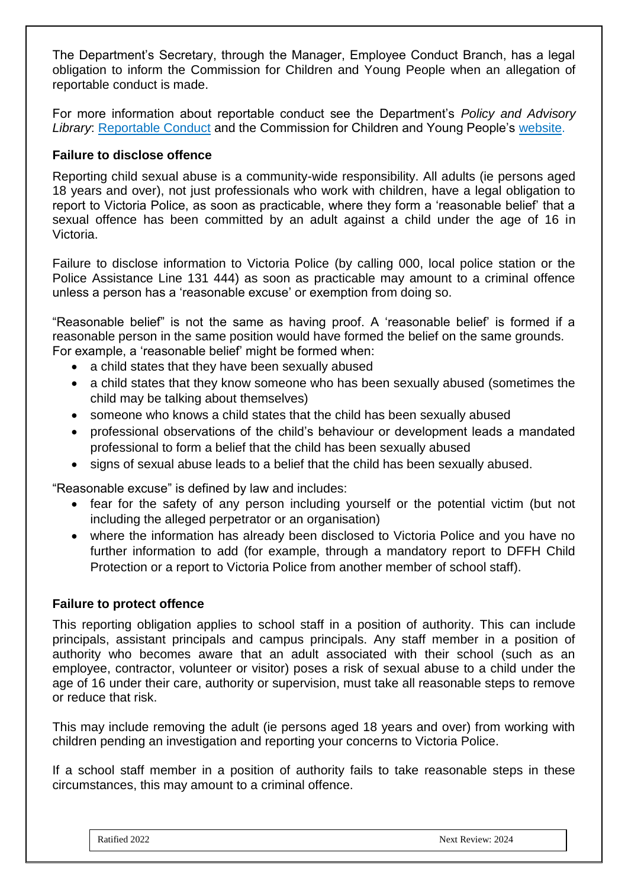The Department's Secretary, through the Manager, Employee Conduct Branch, has a legal obligation to inform the Commission for Children and Young People when an allegation of reportable conduct is made.

For more information about reportable conduct see the Department's *Policy and Advisory Library*: [Reportable Conduct](https://www2.education.vic.gov.au/pal/reportable-conduct-scheme/policy) and the Commission for Children and Young People's [website.](https://ccyp.vic.gov.au/reportable-conduct-scheme/)

## **Failure to disclose offence**

Reporting child sexual abuse is a community-wide responsibility. All adults (ie persons aged 18 years and over), not just professionals who work with children, have a legal obligation to report to Victoria Police, as soon as practicable, where they form a 'reasonable belief' that a sexual offence has been committed by an adult against a child under the age of 16 in Victoria.

Failure to disclose information to Victoria Police (by calling 000, local police station or the Police Assistance Line 131 444) as soon as practicable may amount to a criminal offence unless a person has a 'reasonable excuse' or exemption from doing so.

"Reasonable belief" is not the same as having proof. A 'reasonable belief' is formed if a reasonable person in the same position would have formed the belief on the same grounds. For example, a 'reasonable belief' might be formed when:

- a child states that they have been sexually abused
- a child states that they know someone who has been sexually abused (sometimes the child may be talking about themselves)
- someone who knows a child states that the child has been sexually abused
- professional observations of the child's behaviour or development leads a mandated professional to form a belief that the child has been sexually abused
- signs of sexual abuse leads to a belief that the child has been sexually abused.

"Reasonable excuse" is defined by law and includes:

- fear for the safety of any person including yourself or the potential victim (but not including the alleged perpetrator or an organisation)
- where the information has already been disclosed to Victoria Police and you have no further information to add (for example, through a mandatory report to DFFH Child Protection or a report to Victoria Police from another member of school staff).

#### **Failure to protect offence**

This reporting obligation applies to school staff in a position of authority. This can include principals, assistant principals and campus principals. Any staff member in a position of authority who becomes aware that an adult associated with their school (such as an employee, contractor, volunteer or visitor) poses a risk of sexual abuse to a child under the age of 16 under their care, authority or supervision, must take all reasonable steps to remove or reduce that risk.

This may include removing the adult (ie persons aged 18 years and over) from working with children pending an investigation and reporting your concerns to Victoria Police.

If a school staff member in a position of authority fails to take reasonable steps in these circumstances, this may amount to a criminal offence.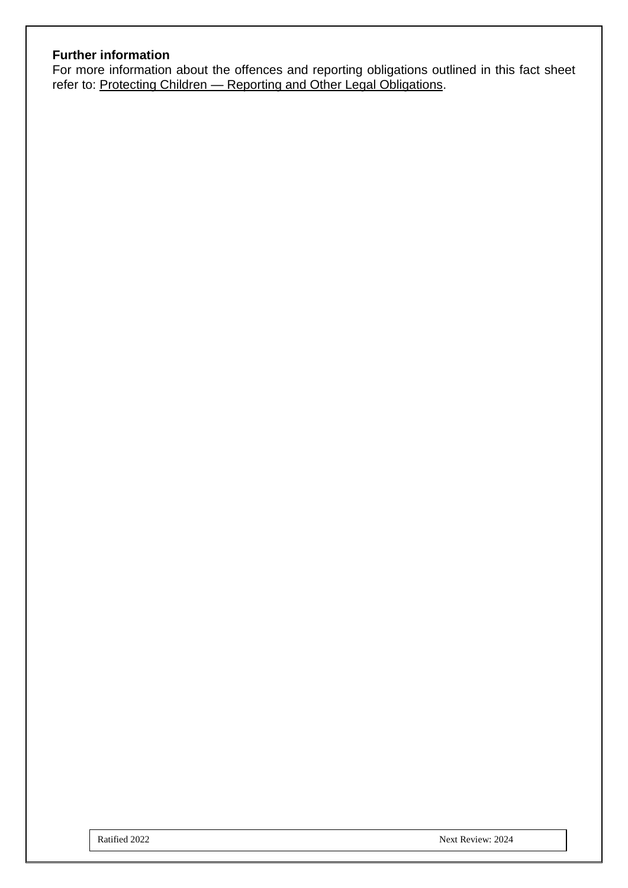## **Further information**

For more information about the offences and reporting obligations outlined in this fact sheet refer to: Protecting Children - [Reporting and Other Legal Obligations.](https://www2.education.vic.gov.au/pal/protecting-children/policy)